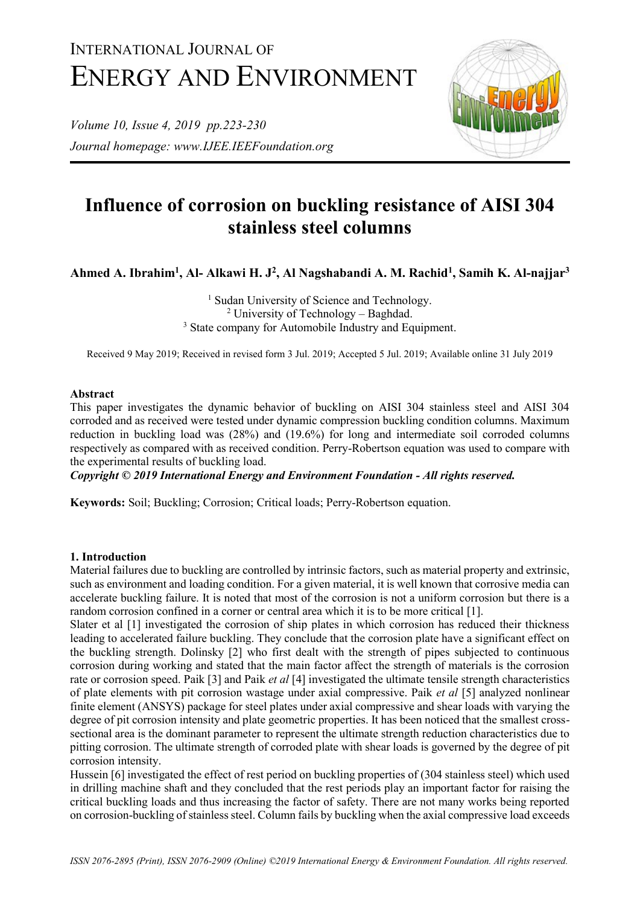# INTERNATIONAL JOURNAL OF ENERGY AND ENVIRONMENT

*Volume 10, Issue 4, 2019 pp.223-230 Journal homepage: www.IJEE.IEEFoundation.org*



# **Influence of corrosion on buckling resistance of AISI 304 stainless steel columns**

**Ahmed A. Ibrahim<sup>1</sup> , Al- Alkawi H. J<sup>2</sup> , Al Nagshabandi A. M. Rachid<sup>1</sup> , Samih K. Al-najjar<sup>3</sup>**

<sup>1</sup> Sudan University of Science and Technology. <sup>2</sup> University of Technology – Baghdad. <sup>3</sup> State company for Automobile Industry and Equipment.

Received 9 May 2019; Received in revised form 3 Jul. 2019; Accepted 5 Jul. 2019; Available online 31 July 2019

#### **Abstract**

This paper investigates the dynamic behavior of buckling on AISI 304 stainless steel and AISI 304 corroded and as received were tested under dynamic compression buckling condition columns. Maximum reduction in buckling load was (28%) and (19.6%) for long and intermediate soil corroded columns respectively as compared with as received condition. Perry-Robertson equation was used to compare with the experimental results of buckling load.

*Copyright © 2019 International Energy and Environment Foundation - All rights reserved.*

**Keywords:** Soil; Buckling; Corrosion; Critical loads; Perry-Robertson equation.

#### **1. Introduction**

Material failures due to buckling are controlled by intrinsic factors, such as material property and extrinsic, such as environment and loading condition. For a given material, it is well known that corrosive media can accelerate buckling failure. It is noted that most of the corrosion is not a uniform corrosion but there is a random corrosion confined in a corner or central area which it is to be more critical [1].

Slater et al [1] investigated the corrosion of ship plates in which corrosion has reduced their thickness leading to accelerated failure buckling. They conclude that the corrosion plate have a significant effect on the buckling strength. Dolinsky [2] who first dealt with the strength of pipes subjected to continuous corrosion during working and stated that the main factor affect the strength of materials is the corrosion rate or corrosion speed. Paik [3] and Paik *et al* [4] investigated the ultimate tensile strength characteristics of plate elements with pit corrosion wastage under axial compressive. Paik *et al* [5] analyzed nonlinear finite element (ANSYS) package for steel plates under axial compressive and shear loads with varying the degree of pit corrosion intensity and plate geometric properties. It has been noticed that the smallest crosssectional area is the dominant parameter to represent the ultimate strength reduction characteristics due to pitting corrosion. The ultimate strength of corroded plate with shear loads is governed by the degree of pit corrosion intensity.

Hussein [6] investigated the effect of rest period on buckling properties of (304 stainless steel) which used in drilling machine shaft and they concluded that the rest periods play an important factor for raising the critical buckling loads and thus increasing the factor of safety. There are not many works being reported on corrosion-buckling of stainless steel. Column fails by buckling when the axial compressive load exceeds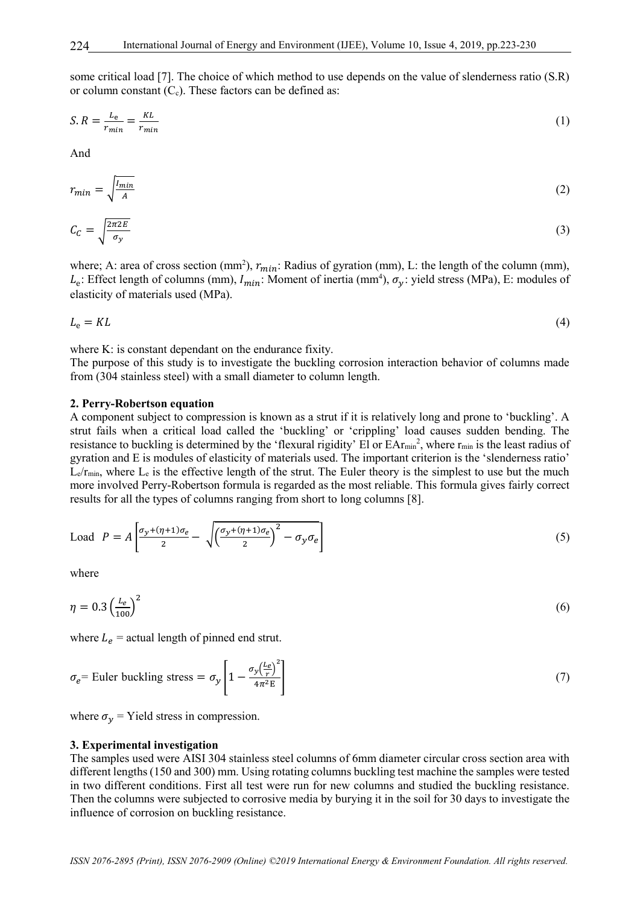some critical load [7]. The choice of which method to use depends on the value of slenderness ratio (S.R) or column constant  $(C_c)$ . These factors can be defined as:

$$
S.R = \frac{L_e}{r_{min}} = \frac{KL}{r_{min}} \tag{1}
$$

And

$$
r_{min} = \sqrt{\frac{l_{min}}{A}}\tag{2}
$$

$$
C_C = \sqrt{\frac{2\pi 2E}{\sigma_y}}
$$
 (3)

where; A: area of cross section (mm<sup>2</sup>),  $r_{min}$ : Radius of gyration (mm), L: the length of the column (mm),  $L_e$ : Effect length of columns (mm),  $I_{min}$ : Moment of inertia (mm<sup>4</sup>),  $\sigma_y$ : yield stress (MPa), E: modules of elasticity of materials used (MPa).

$$
L_{\rm e} = KL \tag{4}
$$

where K: is constant dependant on the endurance fixity.

The purpose of this study is to investigate the buckling corrosion interaction behavior of columns made from (304 stainless steel) with a small diameter to column length.

#### **2. Perry-Robertson equation**

A component subject to compression is known as a strut if it is relatively long and prone to 'buckling'. A strut fails when a critical load called the 'buckling' or 'crippling' load causes sudden bending. The resistance to buckling is determined by the 'flexural rigidity' El or  $EAr_{min}^2$ , where  $r_{min}$  is the least radius of gyration and E is modules of elasticity of materials used. The important criterion is the 'slenderness ratio'  $L_e/r_{min}$ , where  $L_e$  is the effective length of the strut. The Euler theory is the simplest to use but the much more involved Perry-Robertson formula is regarded as the most reliable. This formula gives fairly correct results for all the types of columns ranging from short to long columns [8].

$$
\text{Load } P = A \left[ \frac{\sigma_y + (\eta + 1)\sigma_e}{2} - \sqrt{\left(\frac{\sigma_y + (\eta + 1)\sigma_e}{2}\right)^2 - \sigma_y \sigma_e} \right] \tag{5}
$$

where

$$
\eta = 0.3 \left(\frac{L_e}{100}\right)^2 \tag{6}
$$

where  $L_e$  = actual length of pinned end strut.

$$
\sigma_e = \text{Euler buckling stress} = \sigma_y \left[ 1 - \frac{\sigma_y \left(\frac{L_e}{r}\right)^2}{4\pi^2 \text{E}} \right] \tag{7}
$$

where  $\sigma_{\gamma}$  = Yield stress in compression.

#### **3. Experimental investigation**

The samples used were AISI 304 stainless steel columns of 6mm diameter circular cross section area with different lengths (150 and 300) mm. Using rotating columns buckling test machine the samples were tested in two different conditions. First all test were run for new columns and studied the buckling resistance. Then the columns were subjected to corrosive media by burying it in the soil for 30 days to investigate the influence of corrosion on buckling resistance.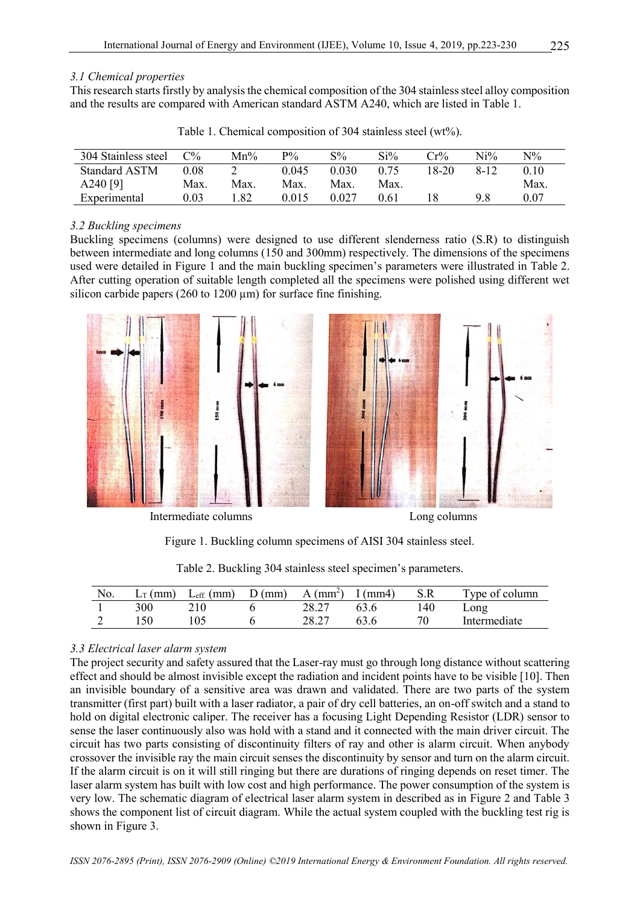#### *3.1 Chemical properties*

This research starts firstly by analysis the chemical composition of the 304 stainless steel alloy composition and the results are compared with American standard ASTM A240, which are listed in Table 1.

| 304 Stainless steel  | $C\%$    | $Mn\%$ | $P\%$ | $S\%$ | $Si\%$ | $Cr\%$ | $Ni\%$   | $\mathrm{N}\%$ |
|----------------------|----------|--------|-------|-------|--------|--------|----------|----------------|
| <b>Standard ASTM</b> | 0.08     |        | 0.045 | 0.030 | 0.75   | 18-20  | $8 - 12$ | 0.10           |
| A240 $[9]$           | Max.     | Max.   | Max.  | Max.  | Max.   |        |          | Max.           |
| Experimental         | $0.03\,$ | - 82   | 0.015 | 0.027 | 0.61   |        | 9.8      | 0.07           |

Table 1. Chemical composition of 304 stainless steel (wt%).

### *3.2 Buckling specimens*

Buckling specimens (columns) were designed to use different slenderness ratio (S.R) to distinguish between intermediate and long columns (150 and 300mm) respectively. The dimensions of the specimens used were detailed in Figure 1 and the main buckling specimen's parameters were illustrated in Table 2. After cutting operation of suitable length completed all the specimens were polished using different wet silicon carbide papers (260 to 1200  $\mu$ m) for surface fine finishing.





Intermediate columns Long columns

Figure 1. Buckling column specimens of AISI 304 stainless steel.

| No. | $L_{\text{T}}$ (mm) | $L_{\text{eff.}}$ (mm) | D (mm) | $A$ (mm <sup>2</sup> ) | I (mm4) | S.R | Type of column |
|-----|---------------------|------------------------|--------|------------------------|---------|-----|----------------|
|     | 300                 | 210                    |        | 28.27                  | 63.6    | 140 | Long           |
|     |                     |                        |        | າວ າາ                  | 63 6    |     | Intermediate   |

Table 2. Buckling 304 stainless steel specimen's parameters.

# *3.3 Electrical laser alarm system*

The project security and safety assured that the Laser-ray must go through long distance without scattering effect and should be almost invisible except the radiation and incident points have to be visible [10]. Then an invisible boundary of a sensitive area was drawn and validated. There are two parts of the system transmitter (first part) built with a laser radiator, a pair of dry cell batteries, an on-off switch and a stand to hold on digital electronic caliper. The receiver has a focusing Light Depending Resistor (LDR) sensor to sense the laser continuously also was hold with a stand and it connected with the main driver circuit. The circuit has two parts consisting of discontinuity filters of ray and other is alarm circuit. When anybody crossover the invisible ray the main circuit senses the discontinuity by sensor and turn on the alarm circuit. If the alarm circuit is on it will still ringing but there are durations of ringing depends on reset timer. The laser alarm system has built with low cost and high performance. The power consumption of the system is very low. The schematic diagram of electrical laser alarm system in described as in Figure 2 and Table 3 shows the component list of circuit diagram. While the actual system coupled with the buckling test rig is shown in Figure 3.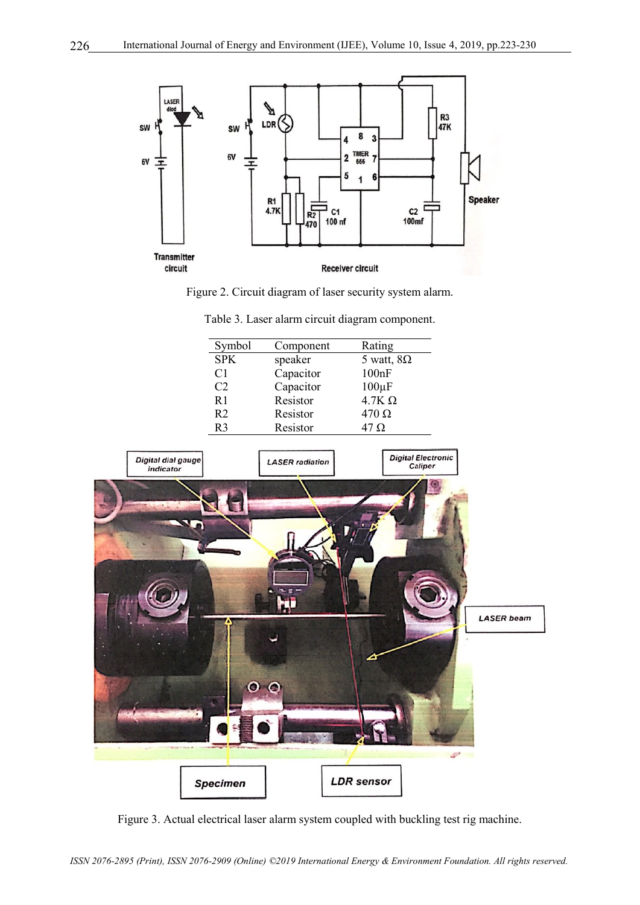

Figure 2. Circuit diagram of laser security system alarm.

| Symbol         | Component | Rating            |
|----------------|-----------|-------------------|
| <b>SPK</b>     | speaker   | 5 watt, $8\Omega$ |
| C <sub>1</sub> | Capacitor | 100nF             |
| C <sub>2</sub> | Capacitor | $100\mu F$        |
| R <sub>1</sub> | Resistor  | $4.7K\Omega$      |
| R <sub>2</sub> | Resistor  | $470 \Omega$      |
| R٩             | Resistor  | 47 Ω              |

Table 3. Laser alarm circuit diagram component.



Figure 3. Actual electrical laser alarm system coupled with buckling test rig machine.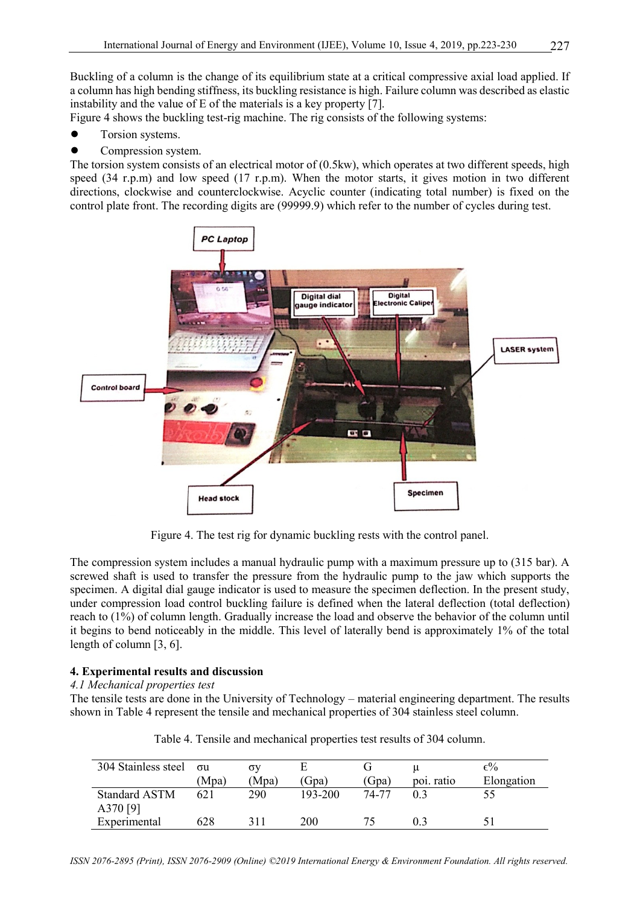Buckling of a column is the change of its equilibrium state at a critical compressive axial load applied. If a column has high bending stiffness, its buckling resistance is high. Failure column was described as elastic instability and the value of E of the materials is a key property [7].

Figure 4 shows the buckling test-rig machine. The rig consists of the following systems:

- Torsion systems.
- Compression system.

The torsion system consists of an electrical motor of (0.5kw), which operates at two different speeds, high speed (34 r.p.m) and low speed (17 r.p.m). When the motor starts, it gives motion in two different directions, clockwise and counterclockwise. Acyclic counter (indicating total number) is fixed on the control plate front. The recording digits are (99999.9) which refer to the number of cycles during test.



Figure 4. The test rig for dynamic buckling rests with the control panel.

The compression system includes a manual hydraulic pump with a maximum pressure up to (315 bar). A screwed shaft is used to transfer the pressure from the hydraulic pump to the jaw which supports the specimen. A digital dial gauge indicator is used to measure the specimen deflection. In the present study, under compression load control buckling failure is defined when the lateral deflection (total deflection) reach to (1%) of column length. Gradually increase the load and observe the behavior of the column until it begins to bend noticeably in the middle. This level of laterally bend is approximately 1% of the total length of column [3, 6].

# **4. Experimental results and discussion**

# *4.1 Mechanical properties test*

The tensile tests are done in the University of Technology – material engineering department. The results shown in Table 4 represent the tensile and mechanical properties of 304 stainless steel column.

| 304 Stainless steel              | $\sigma$ u | σv    |         |       |            | $\epsilon\%$ |
|----------------------------------|------------|-------|---------|-------|------------|--------------|
|                                  | (Mpa)      | (Mpa) | (Gpa)   | (Gpa) | poi. ratio | Elongation   |
| <b>Standard ASTM</b><br>A370 [9] | 621        | 290   | 193-200 | 74-77 | 0 3        |              |
| Experimental                     | 628        | 311   | 200     |       | 0.3        |              |

Table 4. Tensile and mechanical properties test results of 304 column.

*ISSN 2076-2895 (Print), ISSN 2076-2909 (Online) ©2019 International Energy & Environment Foundation. All rights reserved.*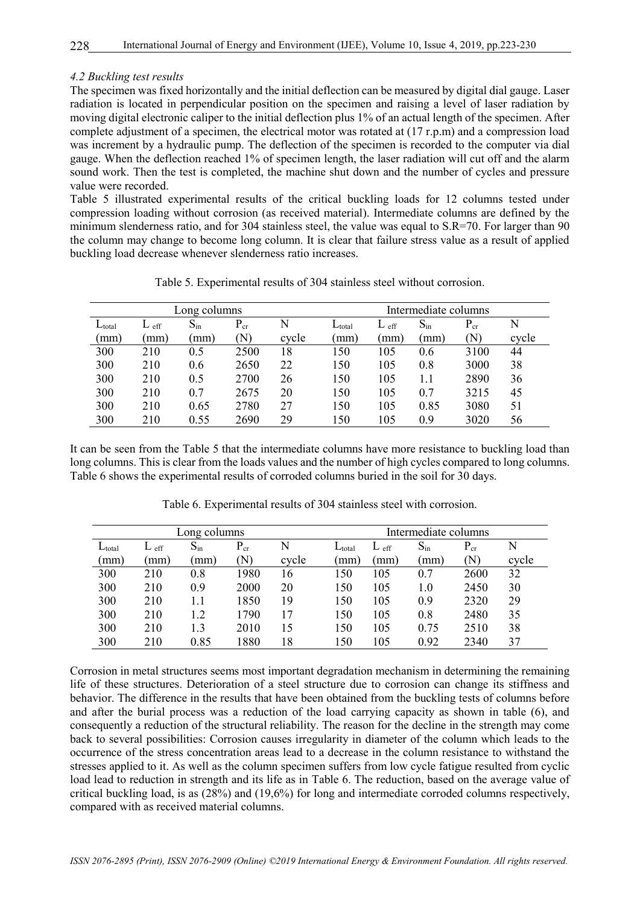#### *4.2 Buckling test results*

The specimen was fixed horizontally and the initial deflection can be measured by digital dial gauge. Laser radiation is located in perpendicular position on the specimen and raising a level of laser radiation by moving digital electronic caliper to the initial deflection plus 1% of an actual length of the specimen. After complete adjustment of a specimen, the electrical motor was rotated at (17 r.p.m) and a compression load was increment by a hydraulic pump. The deflection of the specimen is recorded to the computer via dial gauge. When the deflection reached 1% of specimen length, the laser radiation will cut off and the alarm sound work. Then the test is completed, the machine shut down and the number of cycles and pressure value were recorded.

Table 5 illustrated experimental results of the critical buckling loads for 12 columns tested under compression loading without corrosion (as received material). Intermediate columns are defined by the minimum slenderness ratio, and for 304 stainless steel, the value was equal to S.R=70. For larger than 90 the column may change to become long column. It is clear that failure stress value as a result of applied buckling load decrease whenever slenderness ratio increases.

| Long columns |         |          |          |       | Intermediate columns |                  |                          |                |       |
|--------------|---------|----------|----------|-------|----------------------|------------------|--------------------------|----------------|-------|
| $L_{total}$  | $L$ eff | $S_{in}$ | $P_{cr}$ | N     | $L_{\text{total}}$   | $L_{\text{eff}}$ | $\mathrm{S}_\mathrm{in}$ | $P_{cr}$       | N     |
| (mm)         | mm)     | (mm      | N)       | cycle | (mm)                 | mm)              | (mm)                     | $(\mathrm{N})$ | cycle |
| 300          | 210     | 0.5      | 2500     | 18    | 150                  | 105              | 0.6                      | 3100           | 44    |
| 300          | 210     | 0.6      | 2650     | 22    | 150                  | 105              | 0.8                      | 3000           | 38    |
| 300          | 210     | 0.5      | 2700     | 26    | 150                  | 105              | 1.1                      | 2890           | 36    |
| 300          | 210     | 0.7      | 2675     | 20    | 150                  | 105              | 0.7                      | 3215           | 45    |
| 300          | 210     | 0.65     | 2780     | 27    | 150                  | 105              | 0.85                     | 3080           | 51    |
| 300          | 210     | 0.55     | 2690     | 29    | 150                  | 105              | 0.9                      | 3020           | 56    |

Table 5. Experimental results of 304 stainless steel without corrosion.

It can be seen from the Table 5 that the intermediate columns have more resistance to buckling load than long columns. This is clear from the loads values and the number of high cycles compared to long columns. Table 6 shows the experimental results of corroded columns buried in the soil for 30 days.

| Long columns |                  |                |             |       |             | Intermediate columns |          |             |       |  |
|--------------|------------------|----------------|-------------|-------|-------------|----------------------|----------|-------------|-------|--|
| $L_{total}$  | $L_{\text{eff}}$ | $S_{in}$       | $P_{cr}$    | N     | $L_{total}$ | eff<br>⊥             | $S_{in}$ | $P_{cr}$    | N     |  |
| mm)          | mm)              | mm)            | $({\rm N})$ | cycle | (mm         | mm)                  | mm)      | $({\rm N})$ | cycle |  |
| 300          | 210              | 0.8            | 1980        | 16    | 150         | 105                  | 0.7      | 2600        | 32    |  |
| 300          | 210              | 0.9            | 2000        | 20    | 150         | 105                  | 1.0      | 2450        | 30    |  |
| 300          | 210              |                | 1850        | 19    | 150         | 105                  | 0.9      | 2320        | 29    |  |
| 300          | 210              | $\overline{2}$ | 1790        | 17    | 150         | 105                  | 0.8      | 2480        | 35    |  |
| 300          | 210              | $\mathbf{.3}$  | 2010        | 15    | 150         | 105                  | 0.75     | 2510        | 38    |  |
| 300          | 210              | 0.85           | 1880        | 18    | 150         | 105                  | 0.92     | 2340        | 37    |  |

Table 6. Experimental results of 304 stainless steel with corrosion.

Corrosion in metal structures seems most important degradation mechanism in determining the remaining life of these structures. Deterioration of a steel structure due to corrosion can change its stiffness and behavior. The difference in the results that have been obtained from the buckling tests of columns before and after the burial process was a reduction of the load carrying capacity as shown in table (6), and consequently a reduction of the structural reliability. The reason for the decline in the strength may come back to several possibilities: Corrosion causes irregularity in diameter of the column which leads to the occurrence of the stress concentration areas lead to a decrease in the column resistance to withstand the stresses applied to it. As well as the column specimen suffers from low cycle fatigue resulted from cyclic load lead to reduction in strength and its life as in Table 6. The reduction, based on the average value of critical buckling load, is as (28%) and (19,6%) for long and intermediate corroded columns respectively, compared with as received material columns.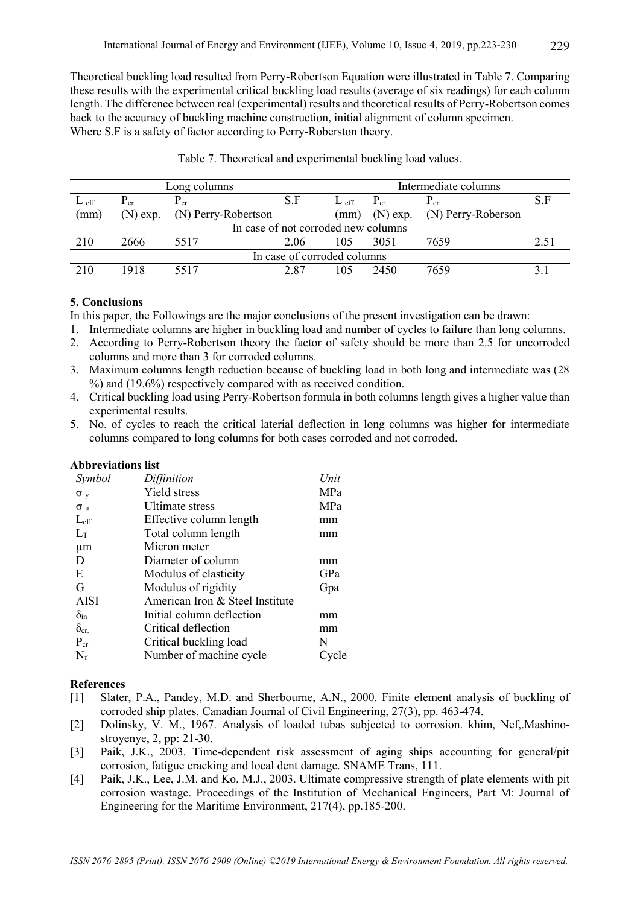Theoretical buckling load resulted from Perry-Robertson Equation were illustrated in Table 7. Comparing these results with the experimental critical buckling load results (average of six readings) for each column length. The difference between real (experimental) results and theoretical results of Perry-Robertson comes back to the accuracy of buckling machine construction, initial alignment of column specimen. Where S.F is a safety of factor according to Perry-Roberston theory.

| Long columns |            |                     |                                     | Intermediate columns |            |                    |               |  |
|--------------|------------|---------------------|-------------------------------------|----------------------|------------|--------------------|---------------|--|
| $L$ eff.     | $P_{cr.}$  | $\rm P_{cr.}$       | S.F                                 | $L$ eff.             | $P_{cr.}$  | $P_{cr.}$          | S.F           |  |
| (mm)         | $(N)$ exp. | (N) Perry-Robertson |                                     | mm)                  | $(N)$ exp. | (N) Perry-Roberson |               |  |
|              |            |                     | In case of not corroded new columns |                      |            |                    |               |  |
| 210          | 2666       | 5517                | 2.06                                | 105                  | 3051       | 7659               | $2.5^{\circ}$ |  |
|              |            |                     | In case of corroded columns         |                      |            |                    |               |  |
| 210          | 1918       | 5517                | 2 87                                | 105                  | 2450       | 7659               |               |  |

Table 7. Theoretical and experimental buckling load values.

### **5. Conclusions**

In this paper, the Followings are the major conclusions of the present investigation can be drawn:

- 1. Intermediate columns are higher in buckling load and number of cycles to failure than long columns.
- 2. According to Perry-Robertson theory the factor of safety should be more than 2.5 for uncorroded columns and more than 3 for corroded columns.
- 3. Maximum columns length reduction because of buckling load in both long and intermediate was (28 %) and (19.6%) respectively compared with as received condition.
- 4. Critical buckling load using Perry-Robertson formula in both columns length gives a higher value than experimental results.
- 5. No. of cycles to reach the critical laterial deflection in long columns was higher for intermediate columns compared to long columns for both cases corroded and not corroded.

| <b>Abbreviations list</b> |                                 |      |
|---------------------------|---------------------------------|------|
| Symbol                    | Diffinition                     | Unit |
| $\sigma_{v}$              | Yield stress                    | MPa  |
| $\sigma_{\rm u}$          | Ultimate stress                 | MPa  |
| $L_{\text{eff}}$          | Effective column length         | mm   |
| $L_{\rm T}$               | Total column length             | mm   |
| $\mu$ m                   | Micron meter                    |      |
| D                         | Diameter of column              | mm   |
| E                         | Modulus of elasticity           | GPa  |
| G                         | Modulus of rigidity             | Gpa  |
| <b>AISI</b>               | American Iron & Steel Institute |      |
| $\delta_{\rm in}$         | Initial column deflection       | mm   |
| $\delta_{\rm cr}$         | Critical deflection             | mm   |
| $P_{cr}$                  | Critical buckling load          | N    |
| $N_f$                     | Number of machine cycle         | le   |

#### **References**

- [1] Slater, P.A., Pandey, M.D. and Sherbourne, A.N., 2000. Finite element analysis of buckling of corroded ship plates. Canadian Journal of Civil Engineering, 27(3), pp. 463-474.
- [2] Dolinsky, V. M., 1967. Analysis of loaded tubas subjected to corrosion. khim, Nef,.Mashinostroyenye, 2, pp: 21-30.
- [3] Paik, J.K., 2003. Time-dependent risk assessment of aging ships accounting for general/pit corrosion, fatigue cracking and local dent damage. SNAME Trans, 111.
- [4] Paik, J.K., Lee, J.M. and Ko, M.J., 2003. Ultimate compressive strength of plate elements with pit corrosion wastage. Proceedings of the Institution of Mechanical Engineers, Part M: Journal of Engineering for the Maritime Environment, 217(4), pp.185-200.